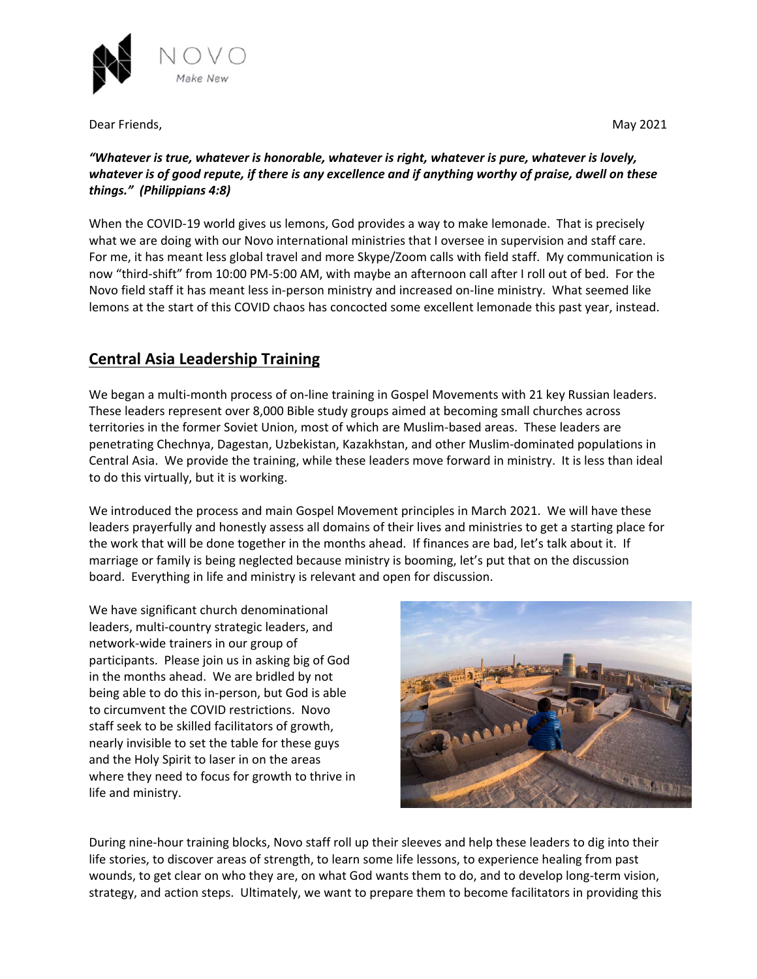

Dear Friends, **Maximum 2021 Maximum 2021** 

## *"Whatever is true, whatever is honorable, whatever is right, whatever is pure, whatever is lovely, whatever is of good repute, if there is any excellence and if anything worthy of praise, dwell on these things." (Philippians 4:8)*

When the COVID‐19 world gives us lemons, God provides a way to make lemonade. That is precisely what we are doing with our Novo international ministries that I oversee in supervision and staff care. For me, it has meant less global travel and more Skype/Zoom calls with field staff. My communication is now "third‐shift" from 10:00 PM‐5:00 AM, with maybe an afternoon call after I roll out of bed. For the Novo field staff it has meant less in‐person ministry and increased on‐line ministry. What seemed like lemons at the start of this COVID chaos has concocted some excellent lemonade this past year, instead.

## **Central Asia Leadership Training**

We began a multi-month process of on-line training in Gospel Movements with 21 key Russian leaders. These leaders represent over 8,000 Bible study groups aimed at becoming small churches across territories in the former Soviet Union, most of which are Muslim‐based areas. These leaders are penetrating Chechnya, Dagestan, Uzbekistan, Kazakhstan, and other Muslim‐dominated populations in Central Asia. We provide the training, while these leaders move forward in ministry. It is less than ideal to do this virtually, but it is working.

We introduced the process and main Gospel Movement principles in March 2021. We will have these leaders prayerfully and honestly assess all domains of their lives and ministries to get a starting place for the work that will be done together in the months ahead. If finances are bad, let's talk about it. If marriage or family is being neglected because ministry is booming, let's put that on the discussion board. Everything in life and ministry is relevant and open for discussion.

We have significant church denominational leaders, multi‐country strategic leaders, and network‐wide trainers in our group of participants. Please join us in asking big of God in the months ahead. We are bridled by not being able to do this in‐person, but God is able to circumvent the COVID restrictions. Novo staff seek to be skilled facilitators of growth, nearly invisible to set the table for these guys and the Holy Spirit to laser in on the areas where they need to focus for growth to thrive in life and ministry.



During nine‐hour training blocks, Novo staff roll up their sleeves and help these leaders to dig into their life stories, to discover areas of strength, to learn some life lessons, to experience healing from past wounds, to get clear on who they are, on what God wants them to do, and to develop long‐term vision, strategy, and action steps. Ultimately, we want to prepare them to become facilitators in providing this